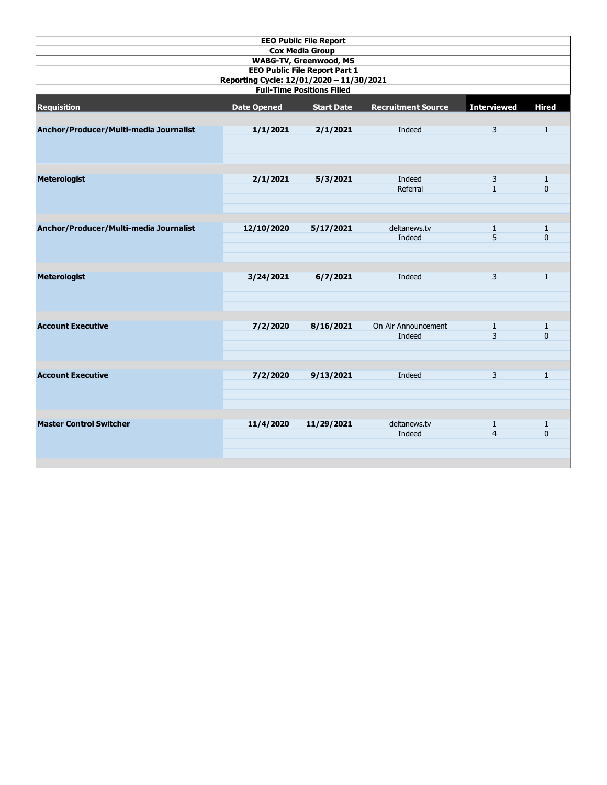| <b>EEO Public File Report</b>                                         |                    |                        |                           |                    |                |  |  |  |  |  |
|-----------------------------------------------------------------------|--------------------|------------------------|---------------------------|--------------------|----------------|--|--|--|--|--|
|                                                                       |                    | <b>Cox Media Group</b> |                           |                    |                |  |  |  |  |  |
| <b>WABG-TV, Greenwood, MS</b><br><b>EEO Public File Report Part 1</b> |                    |                        |                           |                    |                |  |  |  |  |  |
| Reporting Cycle: 12/01/2020 - 11/30/2021                              |                    |                        |                           |                    |                |  |  |  |  |  |
| <b>Full-Time Positions Filled</b>                                     |                    |                        |                           |                    |                |  |  |  |  |  |
| <b>Requisition</b>                                                    | <b>Date Opened</b> | <b>Start Date</b>      | <b>Recruitment Source</b> | <b>Interviewed</b> | <b>Hired</b>   |  |  |  |  |  |
| Anchor/Producer/Multi-media Journalist                                | 1/1/2021           | 2/1/2021               | Indeed                    | $\overline{3}$     | $\overline{1}$ |  |  |  |  |  |
|                                                                       |                    |                        |                           |                    |                |  |  |  |  |  |
| <b>Meterologist</b>                                                   | 2/1/2021           | 5/3/2021               | Indeed                    | 3                  | $\mathbf{1}$   |  |  |  |  |  |
|                                                                       |                    |                        | Referral                  | $\mathbf{1}$       | 0              |  |  |  |  |  |
|                                                                       |                    |                        |                           |                    |                |  |  |  |  |  |
| Anchor/Producer/Multi-media Journalist                                | 12/10/2020         | 5/17/2021              | deltanews.tv              | $\mathbf{1}$       | $\mathbf{1}$   |  |  |  |  |  |
|                                                                       |                    |                        | Indeed                    | 5                  | 0              |  |  |  |  |  |
|                                                                       |                    |                        |                           |                    |                |  |  |  |  |  |
| <b>Meterologist</b>                                                   | 3/24/2021          | 6/7/2021               | Indeed                    | 3                  | $\mathbf{1}$   |  |  |  |  |  |
|                                                                       |                    |                        |                           |                    |                |  |  |  |  |  |
| <b>Account Executive</b>                                              | 7/2/2020           | 8/16/2021              | On Air Announcement       | $\mathbf{1}$       | $\mathbf{1}$   |  |  |  |  |  |
|                                                                       |                    |                        | Indeed                    | $\overline{3}$     | $\mathbf{0}$   |  |  |  |  |  |
|                                                                       |                    |                        |                           |                    |                |  |  |  |  |  |
| <b>Account Executive</b>                                              | 7/2/2020           | 9/13/2021              | Indeed                    | 3                  | $\mathbf{1}$   |  |  |  |  |  |
|                                                                       |                    |                        |                           |                    |                |  |  |  |  |  |
| <b>Master Control Switcher</b>                                        | 11/4/2020          | 11/29/2021             | deltanews.tv              | $\mathbf{1}$       | $\mathbf{1}$   |  |  |  |  |  |
|                                                                       |                    |                        | Indeed                    | $\overline{4}$     | 0              |  |  |  |  |  |
|                                                                       |                    |                        |                           |                    |                |  |  |  |  |  |